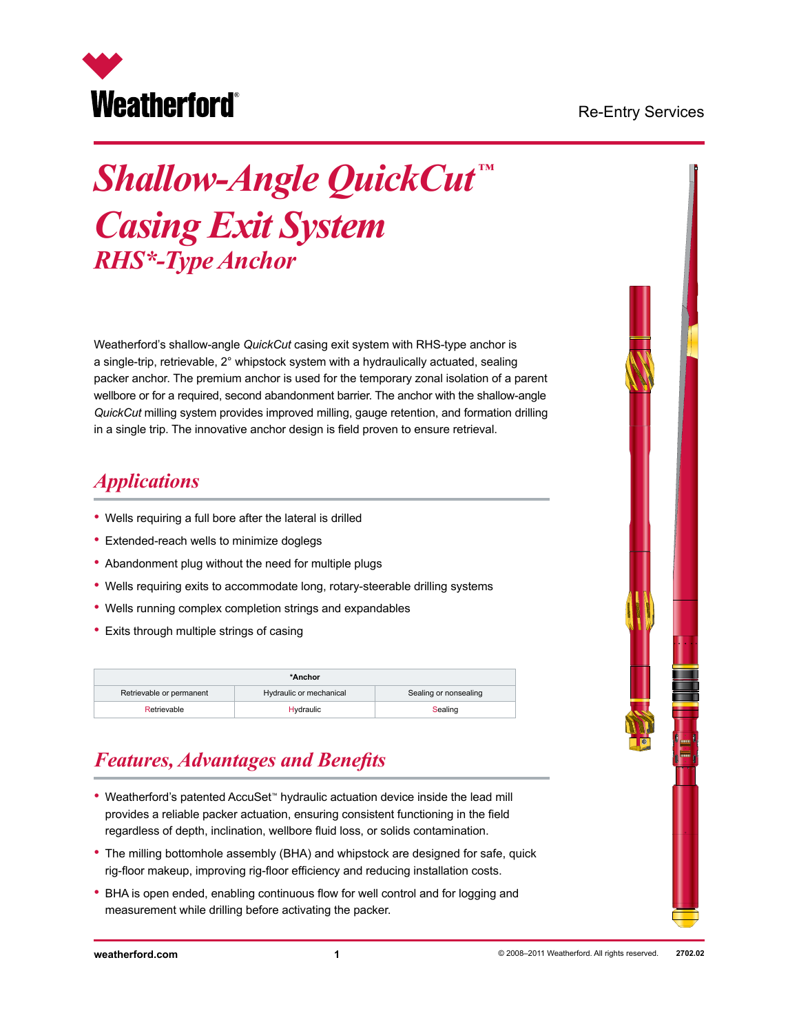#### Re-Entry Services



# *Shallow-Angle QuickCut ™ Casing Exit System RHS\*-Type Anchor*

Weatherford's shallow-angle *QuickCut* casing exit system with RHS-type anchor is a single-trip, retrievable, 2° whipstock system with a hydraulically actuated, sealing packer anchor. The premium anchor is used for the temporary zonal isolation of a parent wellbore or for a required, second abandonment barrier. The anchor with the shallow-angle *QuickCut* milling system provides improved milling, gauge retention, and formation drilling in a single trip. The innovative anchor design is field proven to ensure retrieval.

#### *Applications*

- Wells requiring a full bore after the lateral is drilled
- Extended-reach wells to minimize doglegs
- Abandonment plug without the need for multiple plugs
- Wells requiring exits to accommodate long, rotary-steerable drilling systems
- Wells running complex completion strings and expandables
- Exits through multiple strings of casing

| *Anchor                  |                         |                       |  |  |  |  |
|--------------------------|-------------------------|-----------------------|--|--|--|--|
| Retrievable or permanent | Hydraulic or mechanical | Sealing or nonsealing |  |  |  |  |
| Retrievable              | <b>Hydraulic</b>        | Sealing               |  |  |  |  |

# *Features, Advantages and Benefits*

- Weatherford's patented AccuSet™ hydraulic actuation device inside the lead mill provides a reliable packer actuation, ensuring consistent functioning in the field regardless of depth, inclination, wellbore fluid loss, or solids contamination.
- The milling bottomhole assembly (BHA) and whipstock are designed for safe, quick rig-floor makeup, improving rig-floor efficiency and reducing installation costs.
- BHA is open ended, enabling continuous flow for well control and for logging and measurement while drilling before activating the packer.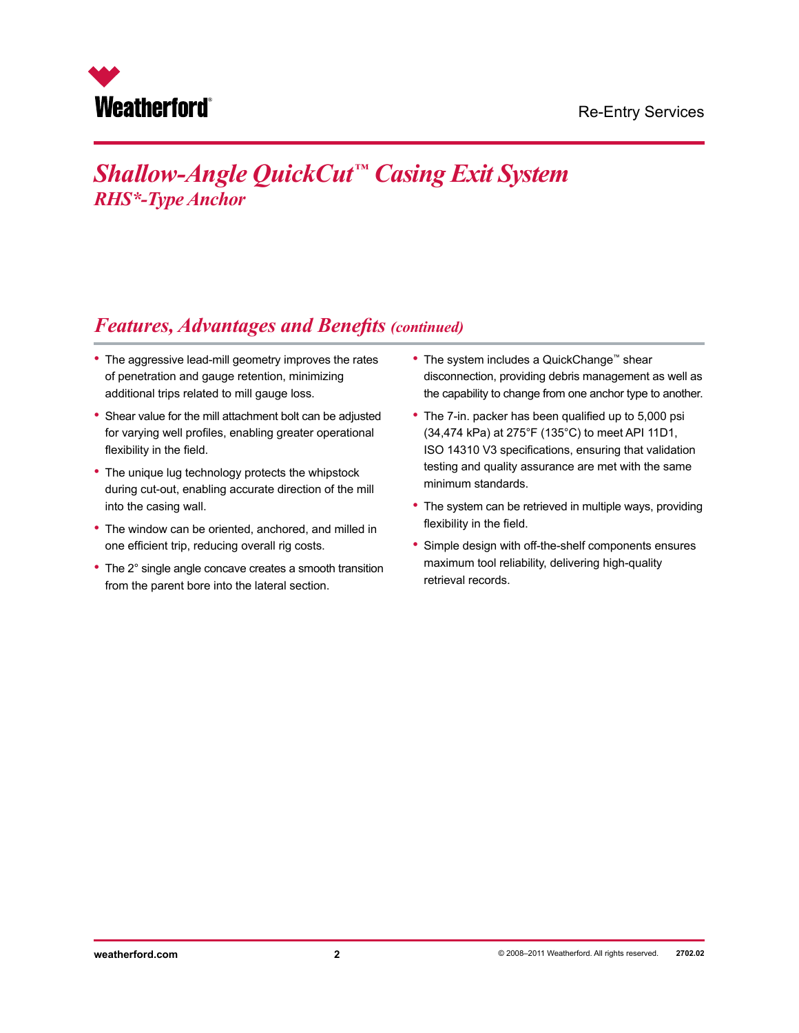

# *Shallow-Angle QuickCut™ Casing Exit System RHS\*-Type Anchor*

#### *Features, Advantages and Benefits (continued)*

- The aggressive lead-mill geometry improves the rates of penetration and gauge retention, minimizing additional trips related to mill gauge loss.
- Shear value for the mill attachment bolt can be adjusted for varying well profiles, enabling greater operational flexibility in the field.
- The unique lug technology protects the whipstock during cut-out, enabling accurate direction of the mill into the casing wall.
- The window can be oriented, anchored, and milled in one efficient trip, reducing overall rig costs.
- The 2° single angle concave creates a smooth transition from the parent bore into the lateral section.
- The system includes a QuickChange™ shear disconnection, providing debris management as well as the capability to change from one anchor type to another.
- The 7-in. packer has been qualified up to 5,000 psi (34,474 kPa) at 275°F (135°C) to meet API 11D1, ISO 14310 V3 specifications, ensuring that validation testing and quality assurance are met with the same minimum standards.
- The system can be retrieved in multiple ways, providing flexibility in the field.
- Simple design with off-the-shelf components ensures maximum tool reliability, delivering high-quality retrieval records.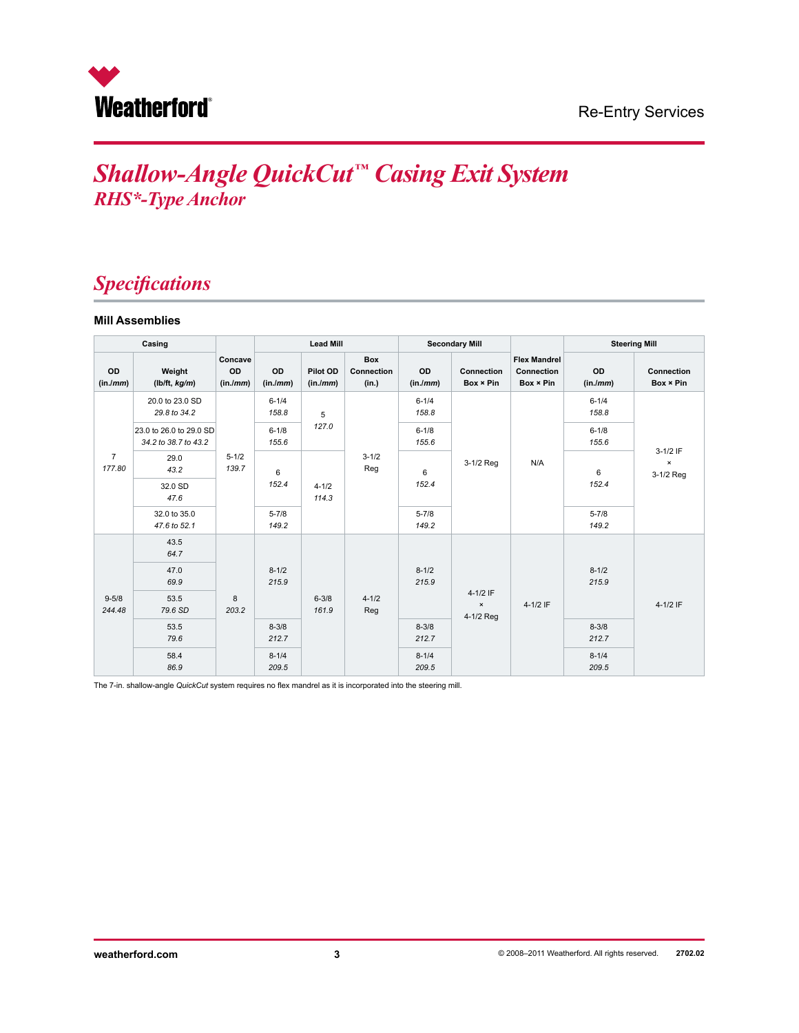

#### Re-Entry Services

# *Shallow-Angle QuickCut™ Casing Exit System RHS\*-Type Anchor*

#### *Specifications*

#### **Mill Assemblies**

| Casing                   |                                                 |                           | <b>Lead Mill</b>                         |                      | <b>Secondary Mill</b>             |                         |                                         | <b>Steering Mill</b>                           |                             |                         |
|--------------------------|-------------------------------------------------|---------------------------|------------------------------------------|----------------------|-----------------------------------|-------------------------|-----------------------------------------|------------------------------------------------|-----------------------------|-------------------------|
| OD<br>(in./mm)           | Weight<br>(lb/ft, kg/m)                         | Concave<br>OD<br>(in./mm) | OD<br>(in/mm)                            | Pilot OD<br>(in./mm) | <b>Box</b><br>Connection<br>(in.) | OD<br>(in/mm)           | Connection<br>Box × Pin                 | <b>Flex Mandrel</b><br>Connection<br>Box × Pin | OD<br>(in./mm)              | Connection<br>Box × Pin |
| $\overline{7}$<br>177.80 | 20.0 to 23.0 SD<br>29.8 to 34.2                 | $5 - 1/2$<br>139.7        | $6 - 1/4$<br>158.8                       | 5                    |                                   | $6 - 1/4$<br>158.8      |                                         |                                                | $6 - 1/4$<br>158.8          | 3-1/2 IF                |
|                          | 23.0 to 26.0 to 29.0 SD<br>34.2 to 38.7 to 43.2 |                           | $6 - 1/8$<br>155.6                       | 127.0                |                                   | $6 - 1/8$<br>155.6      |                                         |                                                | $6 - 1/8$<br>155.6          |                         |
|                          | 29.0<br>43.2                                    |                           | 6<br>152.4                               | $4 - 1/2$<br>114.3   | $3 - 1/2$<br>Reg                  | 3-1/2 Reg<br>6<br>152.4 | N/A                                     | 6                                              | $\pmb{\times}$<br>3-1/2 Reg |                         |
|                          | 32.0 SD<br>47.6                                 |                           |                                          |                      |                                   |                         |                                         |                                                | 152.4                       |                         |
|                          | 32.0 to 35.0<br>47.6 to 52.1                    |                           | $5 - 7/8$<br>149.2                       |                      |                                   | $5 - 7/8$<br>149.2      |                                         |                                                | $5 - 7/8$<br>149.2          |                         |
| $9 - 5/8$<br>244.48      | 43.5<br>64.7                                    | 8<br>203.2                | $8 - 1/2$<br>215.9<br>$6 - 3/8$<br>161.9 |                      | $4 - 1/2$<br>Reg                  | $8 - 1/2$<br>215.9      | 4-1/2 IF<br>$\pmb{\times}$<br>4-1/2 Reg | $4-1/2$ IF                                     |                             |                         |
|                          | 47.0<br>69.9                                    |                           |                                          |                      |                                   |                         |                                         |                                                | $8 - 1/2$<br>215.9          |                         |
|                          | 53.5<br>79.6 SD                                 |                           |                                          |                      |                                   |                         |                                         |                                                |                             | 4-1/2 IF                |
|                          | 53.5<br>79.6                                    |                           | $8 - 3/8$<br>212.7                       |                      |                                   | $8 - 3/8$<br>212.7      |                                         |                                                | $8 - 3/8$<br>212.7          |                         |
|                          | 58.4<br>86.9                                    |                           | $8 - 1/4$<br>209.5                       |                      |                                   | $8 - 1/4$<br>209.5      |                                         |                                                | $8 - 1/4$<br>209.5          |                         |

The 7-in. shallow-angle *QuickCut* system requires no flex mandrel as it is incorporated into the steering mill.